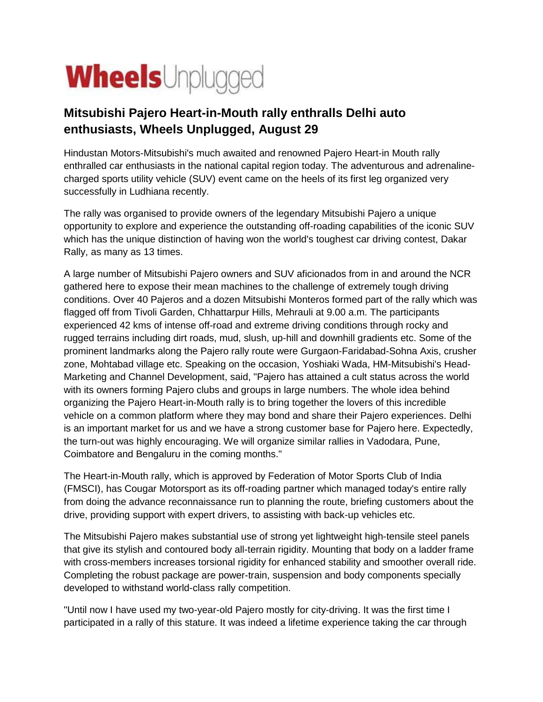

## **Mitsubishi Pajero Heart-in-Mouth rally enthralls Delhi auto enthusiasts, Wheels Unplugged, August 29**

Hindustan Motors-Mitsubishi's much awaited and renowned Pajero Heart-in Mouth rally enthralled car enthusiasts in the national capital region today. The adventurous and adrenalinecharged sports utility vehicle (SUV) event came on the heels of its first leg organized very successfully in Ludhiana recently.

The rally was organised to provide owners of the legendary Mitsubishi Pajero a unique opportunity to explore and experience the outstanding off-roading capabilities of the iconic SUV which has the unique distinction of having won the world's toughest car driving contest, Dakar Rally, as many as 13 times.

A large number of Mitsubishi Pajero owners and SUV aficionados from in and around the NCR gathered here to expose their mean machines to the challenge of extremely tough driving conditions. Over 40 Pajeros and a dozen Mitsubishi Monteros formed part of the rally which was flagged off from Tivoli Garden, Chhattarpur Hills, Mehrauli at 9.00 a.m. The participants experienced 42 kms of intense off-road and extreme driving conditions through rocky and rugged terrains including dirt roads, mud, slush, up-hill and downhill gradients etc. Some of the prominent landmarks along the Pajero rally route were Gurgaon-Faridabad-Sohna Axis, crusher zone, Mohtabad village etc. Speaking on the occasion, Yoshiaki Wada, HM-Mitsubishi's Head-Marketing and Channel Development, said, "Pajero has attained a cult status across the world with its owners forming Pajero clubs and groups in large numbers. The whole idea behind organizing the Pajero Heart-in-Mouth rally is to bring together the lovers of this incredible vehicle on a common platform where they may bond and share their Pajero experiences. Delhi is an important market for us and we have a strong customer base for Pajero here. Expectedly, the turn-out was highly encouraging. We will organize similar rallies in Vadodara, Pune, Coimbatore and Bengaluru in the coming months."

The Heart-in-Mouth rally, which is approved by Federation of Motor Sports Club of India (FMSCI), has Cougar Motorsport as its off-roading partner which managed today's entire rally from doing the advance reconnaissance run to planning the route, briefing customers about the drive, providing support with expert drivers, to assisting with back-up vehicles etc.

The Mitsubishi Pajero makes substantial use of strong yet lightweight high-tensile steel panels that give its stylish and contoured body all-terrain rigidity. Mounting that body on a ladder frame with cross-members increases torsional rigidity for enhanced stability and smoother overall ride. Completing the robust package are power-train, suspension and body components specially developed to withstand world-class rally competition.

"Until now I have used my two-year-old Pajero mostly for city-driving. It was the first time I participated in a rally of this stature. It was indeed a lifetime experience taking the car through